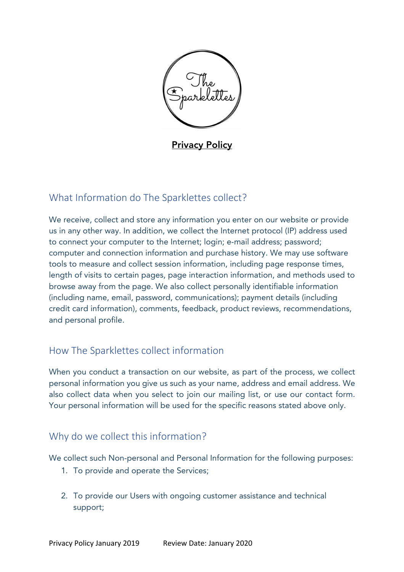

**Privacy Policy** 

## What Information do The Sparklettes collect?

We receive, collect and store any information you enter on our website or provide us in any other way. In addition, we collect the Internet protocol (IP) address used to connect your computer to the Internet; login; e-mail address; password; computer and connection information and purchase history. We may use software tools to measure and collect session information, including page response times, length of visits to certain pages, page interaction information, and methods used to browse away from the page. We also collect personally identifiable information (including name, email, password, communications); payment details (including credit card information), comments, feedback, product reviews, recommendations, and personal profile.

#### How The Sparklettes collect information

When you conduct a transaction on our website, as part of the process, we collect personal information you give us such as your name, address and email address. We also collect data when you select to join our mailing list, or use our contact form. Your personal information will be used for the specific reasons stated above only.

#### Why do we collect this information?

We collect such Non-personal and Personal Information for the following purposes:

- 1. To provide and operate the Services;
- 2. To provide our Users with ongoing customer assistance and technical support;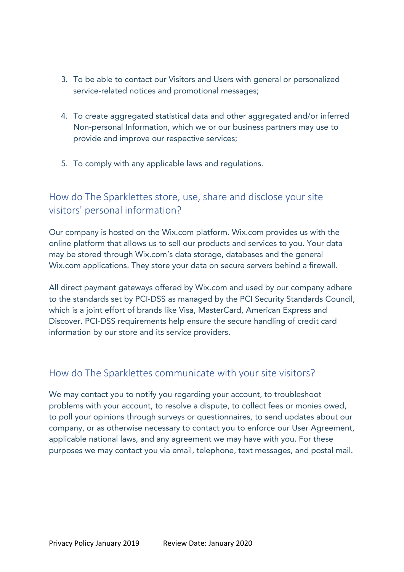- 3. To be able to contact our Visitors and Users with general or personalized service-related notices and promotional messages;
- 4. To create aggregated statistical data and other aggregated and/or inferred Non-personal Information, which we or our business partners may use to provide and improve our respective services;
- 5. To comply with any applicable laws and regulations.

# How do The Sparklettes store, use, share and disclose your site visitors' personal information?

Our company is hosted on the Wix.com platform. Wix.com provides us with the online platform that allows us to sell our products and services to you. Your data may be stored through Wix.com's data storage, databases and the general Wix.com applications. They store your data on secure servers behind a firewall.

All direct payment gateways offered by Wix.com and used by our company adhere to the standards set by PCI-DSS as managed by the PCI Security Standards Council, which is a joint effort of brands like Visa, MasterCard, American Express and Discover. PCI-DSS requirements help ensure the secure handling of credit card information by our store and its service providers.

#### How do The Sparklettes communicate with your site visitors?

We may contact you to notify you regarding your account, to troubleshoot problems with your account, to resolve a dispute, to collect fees or monies owed, to poll your opinions through surveys or questionnaires, to send updates about our company, or as otherwise necessary to contact you to enforce our User Agreement, applicable national laws, and any agreement we may have with you. For these purposes we may contact you via email, telephone, text messages, and postal mail.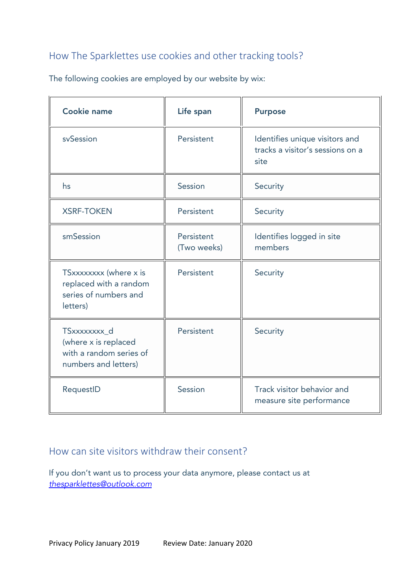# How The Sparklettes use cookies and other tracking tools?

| <b>Cookie name</b>                                                                      | Life span                 | <b>Purpose</b>                                                             |
|-----------------------------------------------------------------------------------------|---------------------------|----------------------------------------------------------------------------|
| svSession                                                                               | Persistent                | Identifies unique visitors and<br>tracks a visitor's sessions on a<br>site |
| hs                                                                                      | Session                   | Security                                                                   |
| <b>XSRF-TOKEN</b>                                                                       | Persistent                | Security                                                                   |
| smSession                                                                               | Persistent<br>(Two weeks) | Identifies logged in site<br>members                                       |
| TSxxxxxxx (where x is<br>replaced with a random<br>series of numbers and<br>letters)    | Persistent                | Security                                                                   |
| TSxxxxxxxx_d<br>(where x is replaced<br>with a random series of<br>numbers and letters) | Persistent                | Security                                                                   |
| RequestID                                                                               | Session                   | Track visitor behavior and<br>measure site performance                     |

The following cookies are employed by our website by wix:

## How can site visitors withdraw their consent?

If you don't want us to process your data anymore, please contact us at *thesparklettes@outlook.com*